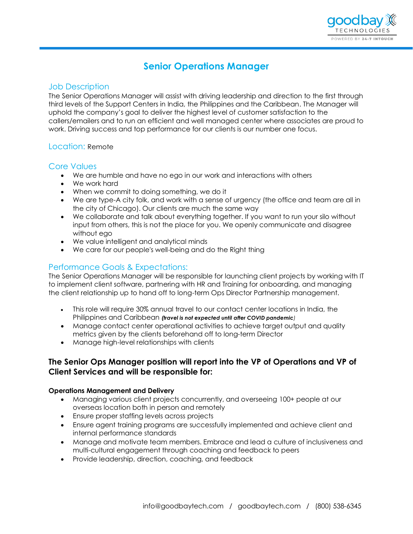

# **Senior Operations Manager**

### Job Description

The Senior Operations Manager will assist with driving leadership and direction to the first through third levels of the Support Centers in India, the Philippines and the Caribbean. The Manager will uphold the company's goal to deliver the highest level of customer satisfaction to the callers/emailers and to run an efficient and well managed center where associates are proud to work. Driving success and top performance for our clients is our number one focus.

# Location: Remote

### Core Values

- We are humble and have no ego in our work and interactions with others
- We work hard
- When we commit to doing something, we do it
- We are type-A city folk, and work with a sense of urgency (the office and team are all in the city of Chicago). Our clients are much the same way
- We collaborate and talk about everything together. If you want to run your silo without input from others, this is not the place for you. We openly communicate and disagree without ego
- We value intelligent and analytical minds
- We care for our people's well-being and do the Right thing

# Performance Goals & Expectations:

The Senior Operations Manager will be responsible for launching client projects by working with IT to implement client software, partnering with HR and Training for onboarding, and managing the client relationship up to hand off to long-term Ops Director Partnership management.

- This role will require 30% annual travel to our contact center locations in India, the Philippines and Caribbean *(travel is not expected until after COVID pandemic)*
- Manage contact center operational activities to achieve target output and quality metrics given by the clients beforehand off to long-term Director
- Manage high-level relationships with clients

# **The Senior Ops Manager position will report into the VP of Operations and VP of Client Services and will be responsible for:**

#### **Operations Management and Delivery**

- Managing various client projects concurrently, and overseeing 100+ people at our overseas location both in person and remotely
- Ensure proper staffing levels across projects
- Ensure agent training programs are successfully implemented and achieve client and internal performance standards
- Manage and motivate team members. Embrace and lead a culture of inclusiveness and multi-cultural engagement through coaching and feedback to peers
- Provide leadership, direction, coaching, and feedback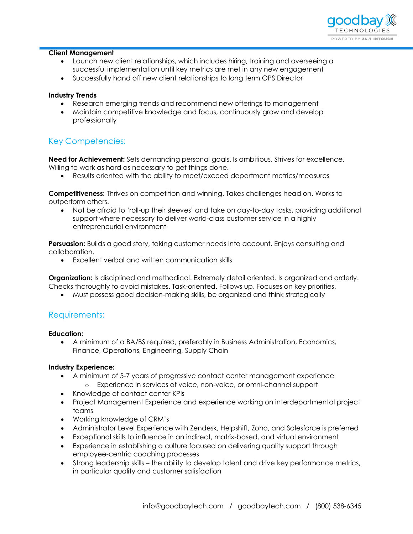

#### **Client Management**

- Launch new client relationships, which includes hiring, training and overseeing a successful implementation until key metrics are met in any new engagement
- Successfully hand off new client relationships to long term OPS Director

#### **Industry Trends**

- Research emerging trends and recommend new offerings to management
- Maintain competitive knowledge and focus, continuously grow and develop professionally

# Key Competencies:

**Need for Achievement:** Sets demanding personal goals. Is ambitious. Strives for excellence. Willing to work as hard as necessary to get things done.

• Results oriented with the ability to meet/exceed department metrics/measures

**Competitiveness:** Thrives on competition and winning. Takes challenges head on. Works to outperform others.

• Not be afraid to 'roll-up their sleeves' and take on day-to-day tasks, providing additional support where necessary to deliver world-class customer service in a highly entrepreneurial environment

**Persuasion:** Builds a good story, taking customer needs into account. Enjoys consulting and collaboration.

• Excellent verbal and written communication skills

**Organization:** Is disciplined and methodical. Extremely detail oriented. Is organized and orderly. Checks thoroughly to avoid mistakes. Task-oriented. Follows up. Focuses on key priorities.

• Must possess good decision-making skills, be organized and think strategically

# Requirements:

**Education:**

• A minimum of a BA/BS required, preferably in Business Administration, Economics, Finance, Operations, Engineering, Supply Chain

#### **Industry Experience:**

- A minimum of 5-7 years of progressive contact center management experience
	- o Experience in services of voice, non-voice, or omni-channel support
- Knowledge of contact center KPIs
- Project Management Experience and experience working on interdepartmental project teams
- Working knowledge of CRM's
- Administrator Level Experience with Zendesk, Helpshift, Zoho, and Salesforce is preferred
- Exceptional skills to influence in an indirect, matrix-based, and virtual environment
- Experience in establishing a culture focused on delivering quality support through employee-centric coaching processes
- Strong leadership skills the ability to develop talent and drive key performance metrics, in particular quality and customer satisfaction